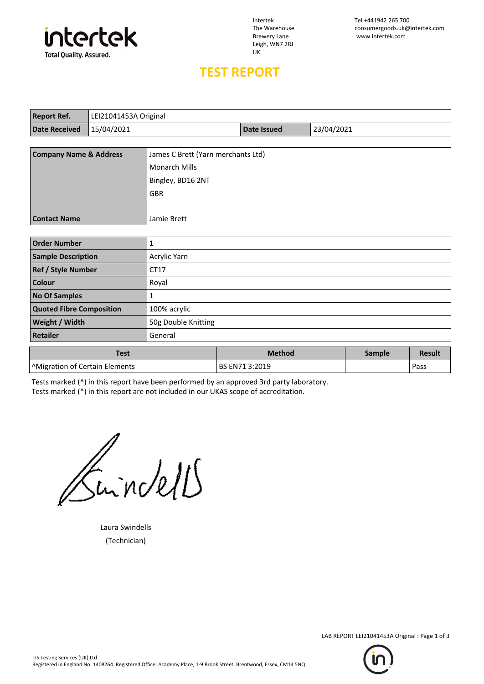

Leigh, WN7 2RJ UK

Intertek Tel +441942 265 700 The Warehouse consumergoods.uk@intertek.com<br>Brewery Lane www.intertek.com www.intertek.com

## **TEST REPORT**

| <b>Report Ref.</b>                | LEI21041453A Original |                                    |                    |            |  |
|-----------------------------------|-----------------------|------------------------------------|--------------------|------------|--|
| <b>Date Received</b>              | 15/04/2021            |                                    | <b>Date Issued</b> | 23/04/2021 |  |
|                                   |                       |                                    |                    |            |  |
| <b>Company Name &amp; Address</b> |                       | James C Brett (Yarn merchants Ltd) |                    |            |  |
|                                   |                       | <b>Monarch Mills</b>               |                    |            |  |
|                                   |                       | Bingley, BD16 2NT                  |                    |            |  |
|                                   |                       | <b>GBR</b>                         |                    |            |  |
|                                   |                       |                                    |                    |            |  |
| <b>Contact Name</b>               |                       | Jamie Brett                        |                    |            |  |
|                                   |                       |                                    |                    |            |  |
| <b>Order Number</b>               |                       | 1                                  |                    |            |  |
| <b>Sample Description</b>         |                       | Acrylic Yarn                       |                    |            |  |
|                                   |                       |                                    |                    |            |  |

| <b>Sample Description</b>                  | Acrylic Yarn        |                |        |               |
|--------------------------------------------|---------------------|----------------|--------|---------------|
| <b>Ref / Style Number</b>                  | CT17                |                |        |               |
| <b>Colour</b>                              | Royal               |                |        |               |
| <b>No Of Samples</b>                       | 1                   |                |        |               |
| <b>Quoted Fibre Composition</b>            | 100% acrylic        |                |        |               |
| Weight / Width                             | 50g Double Knitting |                |        |               |
| <b>Retailer</b>                            | General             |                |        |               |
| <b>Test</b>                                |                     | <b>Method</b>  | Sample | <b>Result</b> |
| <sup>^</sup> Migration of Certain Elements |                     | BS EN71 3:2019 |        | Pass          |

Tests marked (^) in this report have been performed by an approved 3rd party laboratory. Tests marked (\*) in this report are not included in our UKAS scope of accreditation.

Inndell

Laura Swindells (Technician)



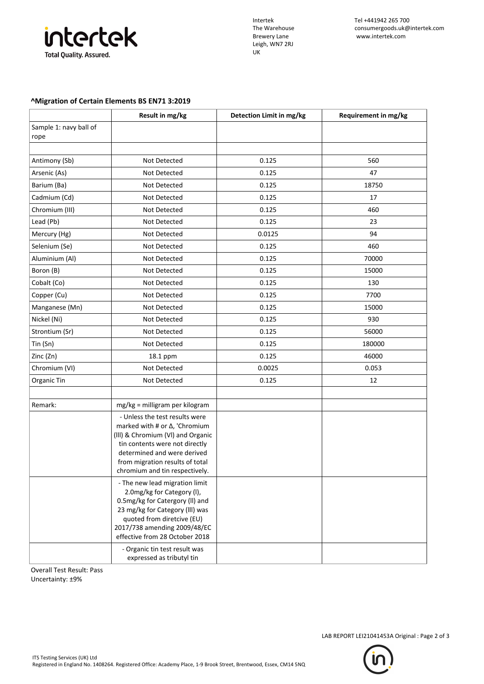

Leigh, WN7 2RJ UK

## **^Migration of Certain Elements BS EN71 3:2019**

|                                | Result in mg/kg                                                                                                                                                                                                                                                     | Detection Limit in mg/kg | Requirement in mg/kg |
|--------------------------------|---------------------------------------------------------------------------------------------------------------------------------------------------------------------------------------------------------------------------------------------------------------------|--------------------------|----------------------|
| Sample 1: navy ball of<br>rope |                                                                                                                                                                                                                                                                     |                          |                      |
|                                |                                                                                                                                                                                                                                                                     |                          |                      |
| Antimony (Sb)                  | Not Detected                                                                                                                                                                                                                                                        | 0.125                    | 560                  |
| Arsenic (As)                   | Not Detected                                                                                                                                                                                                                                                        | 0.125                    | 47                   |
| Barium (Ba)                    | Not Detected                                                                                                                                                                                                                                                        | 0.125                    | 18750                |
| Cadmium (Cd)                   | Not Detected                                                                                                                                                                                                                                                        | 0.125                    | 17                   |
| Chromium (III)                 | Not Detected                                                                                                                                                                                                                                                        | 0.125                    | 460                  |
| Lead (Pb)                      | Not Detected                                                                                                                                                                                                                                                        | 0.125                    | 23                   |
| Mercury (Hg)                   | Not Detected                                                                                                                                                                                                                                                        | 0.0125                   | 94                   |
| Selenium (Se)                  | Not Detected                                                                                                                                                                                                                                                        | 0.125                    | 460                  |
| Aluminium (Al)                 | Not Detected                                                                                                                                                                                                                                                        | 0.125                    | 70000                |
| Boron (B)                      | Not Detected                                                                                                                                                                                                                                                        | 0.125                    | 15000                |
| Cobalt (Co)                    | Not Detected                                                                                                                                                                                                                                                        | 0.125                    | 130                  |
| Copper (Cu)                    | Not Detected                                                                                                                                                                                                                                                        | 0.125                    | 7700                 |
| Manganese (Mn)                 | Not Detected                                                                                                                                                                                                                                                        | 0.125                    | 15000                |
| Nickel (Ni)                    | Not Detected                                                                                                                                                                                                                                                        | 0.125                    | 930                  |
| Strontium (Sr)                 | Not Detected                                                                                                                                                                                                                                                        | 0.125                    | 56000                |
| Tin (Sn)                       | Not Detected                                                                                                                                                                                                                                                        | 0.125                    | 180000               |
| Zinc (Zn)                      | 18.1 ppm                                                                                                                                                                                                                                                            | 0.125                    | 46000                |
| Chromium (VI)                  | Not Detected                                                                                                                                                                                                                                                        | 0.0025                   | 0.053                |
| Organic Tin                    | Not Detected                                                                                                                                                                                                                                                        | 0.125                    | 12                   |
|                                |                                                                                                                                                                                                                                                                     |                          |                      |
| Remark:                        | mg/kg = milligram per kilogram                                                                                                                                                                                                                                      |                          |                      |
|                                | - Unless the test results were<br>marked with # or $\Delta$ , 'Chromium<br>(III) & Chromium (VI) and Organic<br>tin contents were not directly<br>determined and were derived<br>from migration results of total<br>chromium and tin respectively.                  |                          |                      |
|                                | - The new lead migration limit<br>2.0mg/kg for Category (I),<br>0.5mg/kg for Catergory (II) and<br>23 mg/kg for Category (III) was<br>quoted from diretcive (EU)<br>2017/738 amending 2009/48/EC<br>effective from 28 October 2018<br>- Organic tin test result was |                          |                      |
|                                | expressed as tributyl tin                                                                                                                                                                                                                                           |                          |                      |

Overall Test Result: Pass Uncertainty: ±9%